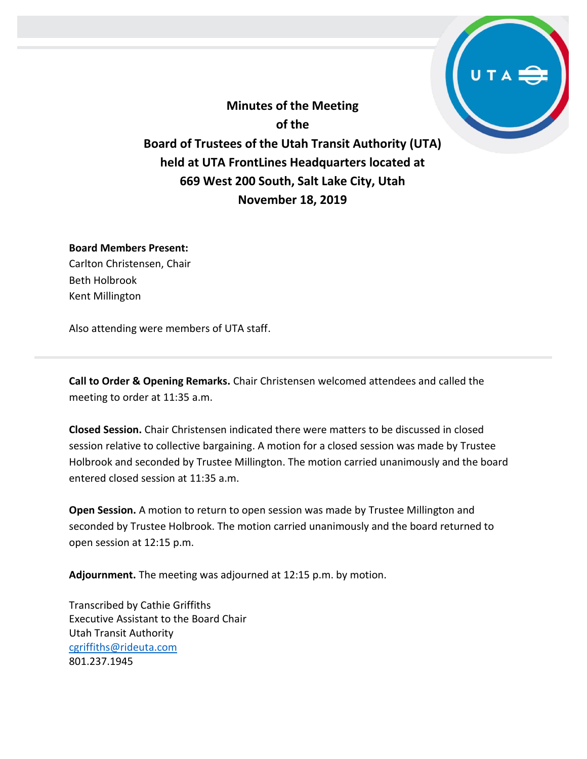**Minutes of the Meeting of the Board of Trustees of the Utah Transit Authority (UTA) held at UTA FrontLines Headquarters located at 669 West 200 South, Salt Lake City, Utah November 18, 2019**

## **Board Members Present:**

Carlton Christensen, Chair Beth Holbrook Kent Millington

Also attending were members of UTA staff.

**Call to Order & Opening Remarks.** Chair Christensen welcomed attendees and called the meeting to order at 11:35 a.m.

**Closed Session.** Chair Christensen indicated there were matters to be discussed in closed session relative to collective bargaining. A motion for a closed session was made by Trustee Holbrook and seconded by Trustee Millington. The motion carried unanimously and the board entered closed session at 11:35 a.m.

**Open Session.** A motion to return to open session was made by Trustee Millington and seconded by Trustee Holbrook. The motion carried unanimously and the board returned to open session at 12:15 p.m.

**Adjournment.** The meeting was adjourned at 12:15 p.m. by motion.

Transcribed by Cathie Griffiths Executive Assistant to the Board Chair Utah Transit Authority [cgriffiths@rideuta.com](mailto:cgriffiths@rideuta.com) 801.237.1945